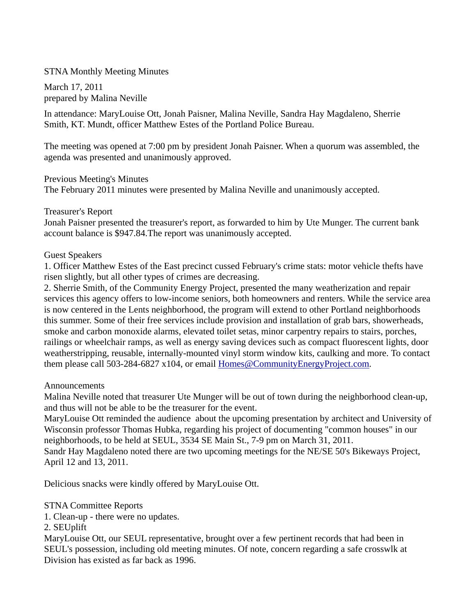### STNA Monthly Meeting Minutes

March 17, 2011 prepared by Malina Neville

In attendance: MaryLouise Ott, Jonah Paisner, Malina Neville, Sandra Hay Magdaleno, Sherrie Smith, KT. Mundt, officer Matthew Estes of the Portland Police Bureau.

The meeting was opened at 7:00 pm by president Jonah Paisner. When a quorum was assembled, the agenda was presented and unanimously approved.

Previous Meeting's Minutes

The February 2011 minutes were presented by Malina Neville and unanimously accepted.

#### Treasurer's Report

Jonah Paisner presented the treasurer's report, as forwarded to him by Ute Munger. The current bank account balance is \$947.84.The report was unanimously accepted.

#### Guest Speakers

1. Officer Matthew Estes of the East precinct cussed February's crime stats: motor vehicle thefts have risen slightly, but all other types of crimes are decreasing.

2. Sherrie Smith, of the Community Energy Project, presented the many weatherization and repair services this agency offers to low-income seniors, both homeowners and renters. While the service area is now centered in the Lents neighborhood, the program will extend to other Portland neighborhoods this summer. Some of their free services include provision and installation of grab bars, showerheads, smoke and carbon monoxide alarms, elevated toilet setas, minor carpentry repairs to stairs, porches, railings or wheelchair ramps, as well as energy saving devices such as compact fluorescent lights, door weatherstripping, reusable, internally-mounted vinyl storm window kits, caulking and more. To contact them please call 503-284-6827 x104, or email Homes@CommunityEnergyProject.com.

#### Announcements

Malina Neville noted that treasurer Ute Munger will be out of town during the neighborhood clean-up, and thus will not be able to be the treasurer for the event.

MaryLouise Ott reminded the audience about the upcoming presentation by architect and University of Wisconsin professor Thomas Hubka, regarding his project of documenting "common houses" in our neighborhoods, to be held at SEUL, 3534 SE Main St., 7-9 pm on March 31, 2011. Sandr Hay Magdaleno noted there are two upcoming meetings for the NE/SE 50's Bikeways Project, April 12 and 13, 2011.

Delicious snacks were kindly offered by MaryLouise Ott.

#### STNA Committee Reports

1. Clean-up - there were no updates.

#### 2. SEUplift

MaryLouise Ott, our SEUL representative, brought over a few pertinent records that had been in SEUL's possession, including old meeting minutes. Of note, concern regarding a safe crosswlk at Division has existed as far back as 1996.